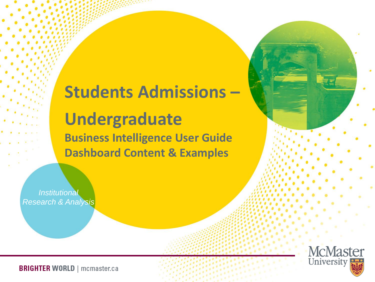## **Students Admissions – Undergraduate Business Intelligence User Guide Dashboard Content & Examples**

*Institutional Research & Analysis*

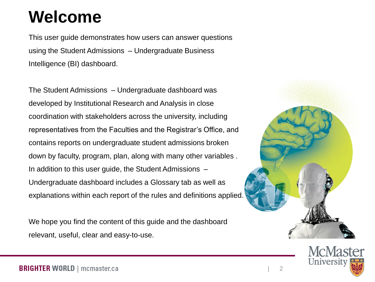## **Welcome**

This user guide demonstrates how users can answer questions using the Student Admissions – Undergraduate Business Intelligence (BI) dashboard.

The Student Admissions – Undergraduate dashboard was developed by Institutional Research and Analysis in close coordination with stakeholders across the university, including representatives from the Faculties and the Registrar's Office, and contains reports on undergraduate student admissions broken down by faculty, program, plan, along with many other variables . In addition to this user guide, the Student Admissions – Undergraduate dashboard includes a Glossary tab as well as explanations within each report of the rules and definitions applied.

We hope you find the content of this guide and the dashboard relevant, useful, clear and easy-to-use.



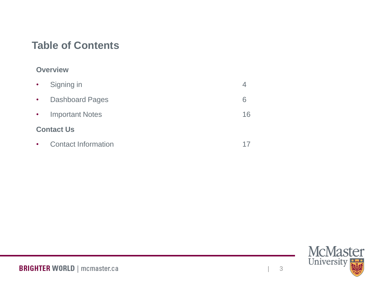#### **Table of Contents**

#### **Overview**

| $\bullet$   | Signing in                 |    |
|-------------|----------------------------|----|
| $\bullet$ . | <b>Dashboard Pages</b>     | 6  |
| $\bullet$ . | <b>Important Notes</b>     | 16 |
|             | <b>Contact Us</b>          |    |
| $\bullet$   | <b>Contact Information</b> |    |

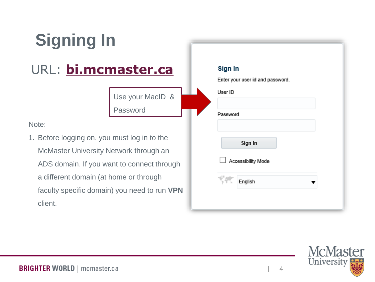

| Sign In  | Enter your user id and password. |
|----------|----------------------------------|
| User ID  |                                  |
| Password |                                  |
|          | Sign In                          |
| $\sqcup$ | Accessibility Mode               |
|          | English                          |
|          |                                  |



client.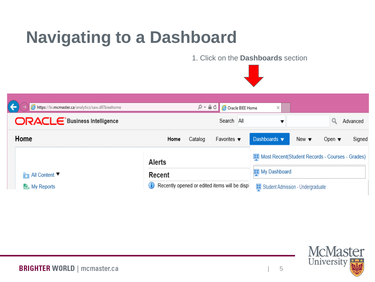## **Navigating to a Dashboard**

1. Click on the **Dashboards** section



| https://bi.mcmaster.ca/analytics/saw.dll?bieehome | ۾ - م                                        | Oracle BIEE Home               | ×                                               |                          |                           |          |
|---------------------------------------------------|----------------------------------------------|--------------------------------|-------------------------------------------------|--------------------------|---------------------------|----------|
| <b>ORACLE</b> Business Intelligence               |                                              | Search All                     |                                                 |                          |                           | Advanced |
| Home                                              | Catalog<br>Home                              | Favorites $\blacktriangledown$ | Dashboards $\blacktriangledown$                 | New $\blacktriangledown$ | Open $\blacktriangledown$ | Signed   |
|                                                   | <b>Alerts</b>                                |                                | Most Recent(Student Records - Courses - Grades) |                          |                           |          |
| $\blacksquare$ All Content                        | Recent                                       |                                | My Dashboard<br>88                              |                          |                           |          |
| My Reports                                        | Recently opened or edited items will be disp |                                | Student Admission - Undergraduate               |                          |                           |          |

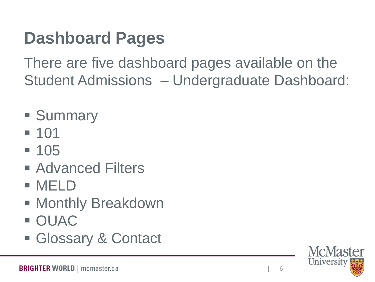# **Dashboard Pages**

There are five dashboard pages available on the Student Admissions – Undergraduate Dashboard:

- Summary
- 101
- 105
- Advanced Filters
- MELD
- Monthly Breakdown
- OUAC
- Glossary & Contact

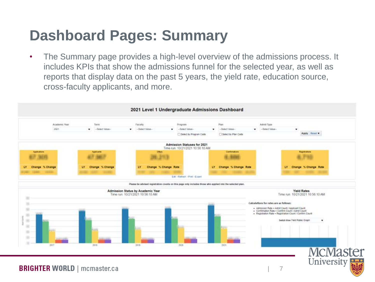### **Dashboard Pages: Summary**

• The Summary page provides a high-level overview of the admissions process. It includes KPIs that show the admissions funnel for the selected year, as well as reports that display data on the past 5 years, the yield rate, education source, cross-faculty applicants, and more.

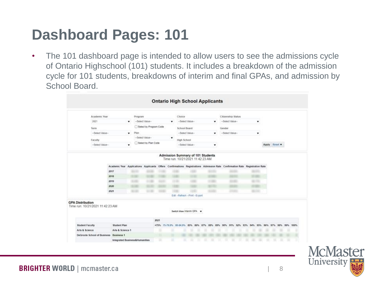#### **Dashboard Pages: 101**

• The 101 dashboard page is intended to allow users to see the admissions cycle of Ontario Highschool (101) students. It includes a breakdown of the admission cycle for 101 students, breakdowns of interim and final GPAs, and admission by School Board.

|                                                             | <b>CONTRACTOR</b> CONTRACTOR<br>Academic Year |                              | Program       |                        |       | 94263<br>Choice |                                 |              | <b>Citizenship Status</b>                                  |              |                            |
|-------------------------------------------------------------|-----------------------------------------------|------------------------------|---------------|------------------------|-------|-----------------|---------------------------------|--------------|------------------------------------------------------------|--------------|----------------------------|
|                                                             | 2021                                          |                              | ۰             | -Select Value-         |       |                 | -Select Value-                  |              | -Select Value-                                             |              |                            |
|                                                             |                                               |                              |               | Select by Program Code |       |                 |                                 |              |                                                            | ۰            |                            |
|                                                             | Term                                          |                              |               |                        |       |                 | School Board                    |              | Gender                                                     |              |                            |
|                                                             | -Select Value-                                |                              | Plan<br>۰     |                        |       |                 | -Select Value-                  | ۰            | -Select Value-                                             | ۰            |                            |
|                                                             | Faculty                                       |                              |               | -Select Value-         |       | ٠               | High School                     |              |                                                            |              |                            |
|                                                             | -Select Value-                                |                              | ٠             | Select by Plan Code    |       |                 | -Select Value-                  | ۰            |                                                            |              | Apply Reset                |
|                                                             |                                               | 2017<br>2018<br>2019<br>2020 | 4146          | $-100$                 | 44.46 | <b>COLOR</b>    |                                 |              |                                                            | $-10$        |                            |
|                                                             |                                               | 2021                         | <b>SILLER</b> | <b>STATISTICS</b>      | 10.00 |                 | Edit - Refresh - Print - Export | <b>SHOW:</b> | ---                                                        | <b>B-100</b> |                            |
|                                                             |                                               |                              |               |                        |       |                 |                                 |              |                                                            |              |                            |
| <b>GPA Distribution</b><br>Time run: 10/21/2021 11:42:23 AM |                                               |                              |               |                        |       |                 | Switch View Intern GPA          |              |                                                            |              |                            |
|                                                             |                                               |                              |               |                        | 2021  |                 |                                 |              |                                                            |              |                            |
| <b>Student Faculty</b>                                      |                                               | <b>Student Plan</b>          |               |                        |       |                 |                                 |              | <75% 75-73.9% 00-84.9% 85% 86% 87% 88% 89% 90% 91% 92% 93% | 94%<br>95%   | 96%<br>97%<br>98% 99% 100% |
| Arts & Science                                              | DeGroote School of Business Business 1        | Arts & Science 1             |               |                        |       |                 |                                 |              |                                                            |              |                            |

**McMaster** University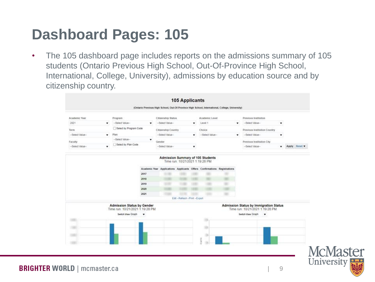#### **Dashboard Pages: 105**

• The 105 dashboard page includes reports on the admissions summary of 105 students (Ontario Previous High School, Out-Of-Province High School, International, College, University), admissions by education source and by citizenship country.

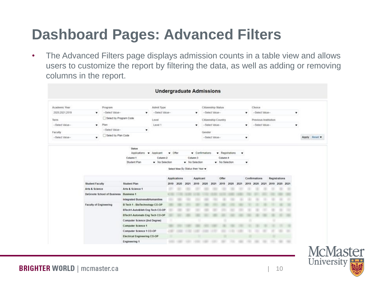## **Dashboard Pages: Advanced Filters**

• The Advanced Filters page displays admission counts in a table view and allows users to customize the report by filtering the data, as well as adding or removing columns in the report.

|                |                               |                             |                                                                  | <b>Undergraduate Admissions</b> |              |                                   |      |                |        |                     |                |      |   |                               |  |                      |           |             |  |
|----------------|-------------------------------|-----------------------------|------------------------------------------------------------------|---------------------------------|--------------|-----------------------------------|------|----------------|--------|---------------------|----------------|------|---|-------------------------------|--|----------------------|-----------|-------------|--|
| Academic Year  |                               | Program                     |                                                                  | Admit Type                      |              |                                   |      |                |        | Citizenship Status  |                |      |   | Choice                        |  |                      |           |             |  |
| 2020.2021.2019 | ۰                             | -Select Value-              | ۰                                                                | -Select Value-                  |              |                                   |      | ۰              |        | --Select Value-     |                |      | ۰ | --Select Value-               |  |                      | ۰         |             |  |
| Term           |                               | Select by Program Code      |                                                                  | Level                           |              |                                   |      |                |        | Citizenship Country |                |      |   | Previous Institution          |  |                      |           |             |  |
| -Select Value- | ۰                             | Plan                        |                                                                  | Level 1                         |              |                                   |      | ۰              |        | -Select Value-      |                |      | ۰ | -Select Value-                |  |                      | $\bullet$ |             |  |
|                |                               | -- Select Value-            | ۰                                                                |                                 |              |                                   |      |                |        |                     |                |      |   |                               |  |                      |           |             |  |
| Faculty        |                               | Select by Plan Code         |                                                                  |                                 |              |                                   |      |                | Gender |                     |                |      |   |                               |  |                      |           |             |  |
| -Select Value- | ۰                             |                             |                                                                  |                                 |              |                                   |      |                |        | -Select Value-      |                |      | ۰ |                               |  |                      |           | Apply Reset |  |
|                |                               |                             | Student Plan                                                     | v No Selection                  |              | Select View By Status then Year v |      | v No Selection |        |                     | v No Selection |      | ۰ |                               |  |                      |           |             |  |
|                |                               |                             |                                                                  |                                 |              | Applications                      |      | Applicant      |        |                     | Offer          |      |   | Confirmations                 |  | <b>Registrations</b> |           |             |  |
|                | Student Faculty               |                             | Student Plan                                                     |                                 |              | 2019 2020                         | 2021 | 2019 2020      |        | 2021                | 2019 2020      | 2021 |   | 2019 2020 2021 2019 2020 2021 |  |                      |           |             |  |
|                | Arts & Science                |                             | Arts & Science 1                                                 |                                 | ÷            |                                   |      |                |        |                     |                |      |   |                               |  |                      |           |             |  |
|                |                               | DeGroote School of Business | <b>Business 1</b>                                                |                                 | $\mathbf{L}$ |                                   |      |                |        |                     |                |      |   |                               |  |                      |           |             |  |
|                |                               |                             | Integrated Business&Humanities                                   |                                 | ÷            |                                   |      |                |        |                     |                |      |   |                               |  |                      |           |             |  |
|                | <b>Faculty of Engineering</b> |                             | B Tech 1 - BioTechnology CO-OP<br>BTech1-Auto&Veh Eng Tech CO-OP |                                 |              |                                   |      |                |        |                     |                |      |   |                               |  |                      |           |             |  |
|                |                               |                             | BTech1-Automath Eng Tech CO-OP                                   |                                 |              |                                   |      |                |        |                     |                |      |   |                               |  |                      |           |             |  |
|                |                               |                             | Computer Science (2nd Degree)                                    |                                 |              |                                   |      |                |        |                     |                |      |   |                               |  |                      |           |             |  |
|                |                               |                             | Computer Science 1                                               |                                 |              |                                   |      |                |        |                     |                |      |   |                               |  |                      |           |             |  |
|                |                               |                             | Computer Science 1 CO-OP                                         |                                 | 2000         |                                   |      |                |        |                     |                |      |   |                               |  |                      |           |             |  |
|                |                               |                             |                                                                  |                                 |              |                                   |      |                |        |                     |                |      |   |                               |  |                      |           |             |  |
|                |                               |                             | Electrical Engineering CO-OP                                     |                                 |              |                                   |      |                |        |                     |                |      |   |                               |  |                      |           |             |  |

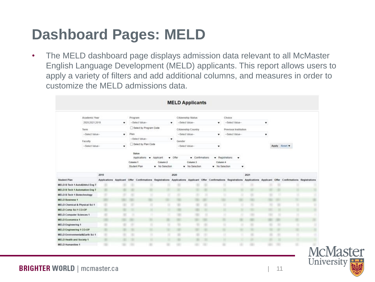#### **Dashboard Pages: MELD**

• The MELD dashboard page displays admission data relevant to all McMaster English Language Development (MELD) applicants. This report allows users to apply a variety of filters and add additional columns, and measures in order to customize the MELD admissions data.

|                                       |                  |   |          |                          |                | <b>MELD Applicants</b> |                     |                 |                                                                                                                                                                            |      |   |               |     |
|---------------------------------------|------------------|---|----------|--------------------------|----------------|------------------------|---------------------|-----------------|----------------------------------------------------------------------------------------------------------------------------------------------------------------------------|------|---|---------------|-----|
| Academic Year                         |                  |   | Program  |                          |                |                        | Citizenship Status  |                 | Choice                                                                                                                                                                     |      |   |               |     |
|                                       | 2020;2021;2019   | ۰ |          | -Select Value-           |                | ۰                      | -Select Value-      | ۰               | -Select Value-                                                                                                                                                             |      | ۰ |               |     |
| Term.                                 |                  |   |          | Select by Program Code   |                |                        | Citizenship Country |                 | Previous Institution                                                                                                                                                       |      |   |               |     |
|                                       | -- Select Value- | ٠ | Plan     |                          |                |                        | -Select Value-      | ۰               | -Select Value-                                                                                                                                                             |      | ٠ |               |     |
|                                       |                  |   |          | -Select Value-           |                | $\pmb{\mathrm{v}}$     |                     |                 |                                                                                                                                                                            |      |   |               |     |
| Faculty                               |                  |   |          | Select by Plan Code      |                | Gender                 |                     |                 |                                                                                                                                                                            |      |   |               |     |
|                                       | -- Select Value- | ٠ |          |                          |                |                        | -Select Value-      | ۰               |                                                                                                                                                                            |      |   | Apply Reset . |     |
|                                       |                  |   |          | Status                   |                |                        |                     |                 |                                                                                                                                                                            |      |   |               |     |
|                                       |                  |   |          | Applications v Applicant |                | $ 0$ ffer              | · Confirmations     | · Registrations | ۰                                                                                                                                                                          |      |   |               |     |
|                                       |                  |   | Column 1 |                          | Column 2       |                        | Column 3            | Column 4        |                                                                                                                                                                            |      |   |               |     |
|                                       |                  |   |          | Student Plan             | W No Selection |                        | v No Selection      | v No Selection  | ۰                                                                                                                                                                          |      |   |               |     |
|                                       | 2019             |   |          |                          |                | 2020                   |                     |                 |                                                                                                                                                                            | 2021 |   |               |     |
| <b>Student Plan</b>                   |                  |   |          |                          |                |                        |                     |                 | Applications Applicant Offer Confirmations Registrations Applications Applicant Offer Confirmations Registrations Applications Applicant Offer Confirmations Registrations |      |   |               |     |
| MELD B Tech 1 Auto&Vehcl Eng T        |                  |   |          |                          |                |                        |                     |                 |                                                                                                                                                                            |      |   |               |     |
| <b>MELD B Tech 1 Automation Eng T</b> |                  |   |          |                          |                |                        |                     |                 |                                                                                                                                                                            |      |   |               |     |
| <b>MELD B Tech 1 Biotechnology</b>    |                  |   |          |                          |                |                        |                     |                 |                                                                                                                                                                            |      |   |               |     |
| <b>MELD Business 1</b>                |                  |   |          |                          |                |                        |                     |                 |                                                                                                                                                                            |      |   |               |     |
| MELD Chemical & Physical Sci 1        |                  |   |          |                          |                |                        |                     |                 |                                                                                                                                                                            |      |   |               |     |
| MELD Comp Sci 1 CO-OP                 |                  |   |          |                          |                |                        |                     |                 |                                                                                                                                                                            |      |   |               |     |
| <b>MELD Computer Sciences 1</b>       |                  |   |          |                          |                |                        |                     |                 |                                                                                                                                                                            |      |   |               |     |
| <b>MELD Economics 1</b>               |                  |   |          |                          |                |                        |                     |                 |                                                                                                                                                                            |      |   |               |     |
| <b>MELD Engineering 1</b>             |                  |   |          |                          |                |                        |                     |                 |                                                                                                                                                                            |      |   |               |     |
| MELD Engineering 1 CO-OP              |                  |   |          |                          |                |                        |                     |                 |                                                                                                                                                                            |      |   |               |     |
| MELD Environmental&Earth Sci 1        |                  |   |          |                          |                |                        |                     |                 |                                                                                                                                                                            |      |   |               |     |
| MELD Health and Society 1             |                  |   |          |                          |                |                        |                     |                 |                                                                                                                                                                            |      |   |               |     |
| <b>MELD Humanities 1</b>              |                  |   |          |                          |                |                        |                     |                 |                                                                                                                                                                            |      |   |               | n л |

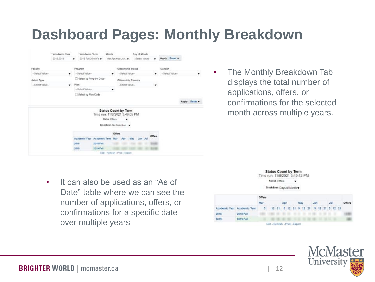#### **Dashboard Pages: Monthly Breakdown**



• The Monthly Breakdown Tab displays the total number of applications, offers, or confirmations for the selected month across multiple years.

• It can also be used as an "As of Date" table where we can see the number of applications, offers, or confirmations for a specific date over multiple years



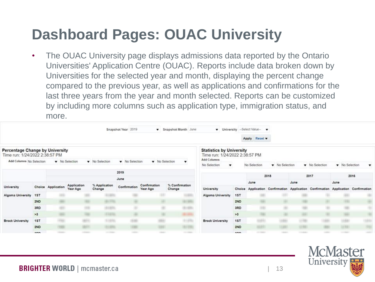## **Dashboard Pages: OUAC University**

• The OUAC University page displays admissions data reported by the Ontario Universities' Application Centre (OUAC). Reports include data broken down by Universities for the selected year and month, displaying the percent change compared to the previous year, as well as applications and confirmations for the last three years from the year and month selected. Reports can be customized by including more columns such as application type, immigration status, and more.

|                                                                          |            |                    |                         |                         | Snapshot Year 2019 |                          | Snapshot Month June                         | $\mathbf{v}$                                                      |            | University -- Select Value- |              |      |              |                |                                                                                   |
|--------------------------------------------------------------------------|------------|--------------------|-------------------------|-------------------------|--------------------|--------------------------|---------------------------------------------|-------------------------------------------------------------------|------------|-----------------------------|--------------|------|--------------|----------------|-----------------------------------------------------------------------------------|
|                                                                          |            |                    |                         |                         |                    |                          |                                             |                                                                   |            | Apply Reset                 |              |      |              |                |                                                                                   |
| <b>Percentage Change by University</b><br>Time run: 1/24/2022 2:38:57 PM |            |                    |                         |                         |                    |                          |                                             | <b>Statistics by University</b><br>Time run: 1/24/2022 2:38:57 PM |            |                             |              |      |              |                |                                                                                   |
| Add Columns No Selection                                                 |            |                    | W No Selection          | Wo Selection            | Wo Selection       | Wo Selection             |                                             | Add Columns<br>No Selection                                       | ۰          | No Selection                | Wo Selection |      | Wa Selection | W No Selection |                                                                                   |
|                                                                          |            |                    |                         |                         |                    |                          |                                             |                                                                   |            |                             |              |      |              |                |                                                                                   |
|                                                                          |            |                    |                         |                         | 2019               |                          |                                             |                                                                   |            |                             | 2018         |      | 2017         |                | 2016                                                                              |
|                                                                          |            |                    |                         |                         | June               |                          |                                             |                                                                   |            | June                        |              | June |              | June           |                                                                                   |
| University                                                               |            | Choice Application | Application<br>Year Ago | % Application<br>Change | Confirmation       | Confirmation<br>Year Ago | % Confirmation<br>Change                    | University                                                        |            |                             |              |      |              |                | Choice Application Confirmation Application Confirmation Application Confirmation |
| Algoma University                                                        | <b>15T</b> |                    |                         | <b>CARD IN</b>          |                    |                          |                                             | Algoma University                                                 | <b>15T</b> |                             |              |      |              |                |                                                                                   |
|                                                                          | 2ND        |                    |                         | - - -                   |                    |                          | --                                          |                                                                   | 2ND        |                             |              |      |              |                |                                                                                   |
|                                                                          | 3RD        | ÷                  |                         | 81476                   |                    |                          | $2 - 200$                                   |                                                                   | 3RD        |                             |              |      |              |                |                                                                                   |
|                                                                          |            |                    |                         |                         |                    |                          |                                             |                                                                   |            |                             |              |      |              |                |                                                                                   |
|                                                                          | >3         |                    |                         |                         |                    |                          |                                             |                                                                   | >3         |                             |              |      |              |                |                                                                                   |
| <b>Brock University</b>                                                  | 1ST        | -                  |                         | <b>Lights</b>           |                    |                          | .                                           | <b>Brock University</b>                                           | 1ST        |                             |              |      |              |                |                                                                                   |
|                                                                          | 2ND        |                    |                         | 414, 670                |                    |                          | <b><i><u><i><u>ALL AREA</u></i></u></i></b> |                                                                   | 2ND        | - 1                         |              |      |              |                | 194                                                                               |
|                                                                          | $\sim$     |                    |                         | <b>START</b>            |                    | <b>SALE</b>              |                                             |                                                                   | nnn        | --                          |              |      |              |                | -                                                                                 |

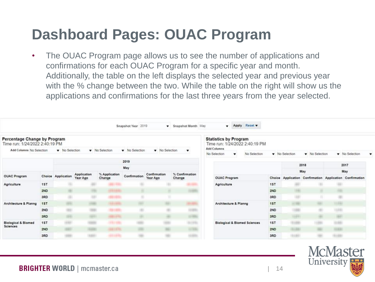### **Dashboard Pages: OUAC Program**

• The OUAC Program page allows us to see the number of applications and confirmations for each OUAC Program for a specific year and month. Additionally, the table on the left displays the selected year and previous year with the % change between the two. While the table on the right will show us the applications and confirmations for the last three years from the year selected.

|                                                                |     |                    |                         |                         | Snapshot Year 2019 |                          | Snapshot Month May       | Apply Reset<br>۰                                               |     |              |              |                                                          |
|----------------------------------------------------------------|-----|--------------------|-------------------------|-------------------------|--------------------|--------------------------|--------------------------|----------------------------------------------------------------|-----|--------------|--------------|----------------------------------------------------------|
| Percentage Change by Program<br>Time run: 1/24/2022 2:40:19 PM |     |                    |                         |                         |                    |                          |                          | <b>Statistics by Program</b><br>Time run: 1/24/2022 2:40:19 PM |     |              |              |                                                          |
| Add Columns No Selection                                       |     | Wo Selection       |                         | Wo Selection            | W No Selection     | Wo Selection             |                          | Add Columns<br>No Selection<br>No Selection                    |     | Wo Selection | Wo Selection | Wo Selection                                             |
|                                                                |     |                    |                         |                         |                    |                          |                          |                                                                |     |              |              |                                                          |
|                                                                |     |                    |                         |                         | 2019               |                          |                          |                                                                |     |              | 2018         | 2017                                                     |
|                                                                |     |                    |                         |                         | May                |                          |                          |                                                                |     |              | May          | May                                                      |
| <b>OUAC Program</b>                                            |     | Choice Application | Application<br>Year Ago | % Application<br>Change | Confirmation       | Confirmation<br>Year Ago | % Confirmation<br>Change | <b>OUAC Program</b>                                            |     |              |              | Choice Application Confirmation Application Confirmation |
| <b>Agriculture</b>                                             | 1ST |                    |                         |                         |                    |                          |                          | <b>Agriculture</b>                                             | 1ST |              |              |                                                          |
|                                                                | 2ND |                    |                         |                         |                    |                          |                          |                                                                | 2ND |              |              |                                                          |
|                                                                | 3RD |                    |                         | <b>START OF</b>         |                    |                          |                          |                                                                | 3RD |              |              |                                                          |
| Architecture & Planng                                          | 1ST |                    |                         |                         |                    |                          |                          | Architecture & Planng                                          | 1ST |              |              |                                                          |
|                                                                | 2ND |                    |                         | <b>START</b>            |                    |                          |                          |                                                                | 2ND |              |              |                                                          |
|                                                                | 3RD |                    |                         |                         |                    |                          |                          |                                                                | 3RD |              |              |                                                          |
| <b>Biological &amp; Biomed</b><br><b>Sciences</b>              | 1ST | $-22$              |                         | <b>CONTRACTOR</b>       |                    |                          | 91993                    | <b>Biological &amp; Biomed Sciences</b>                        | 1ST | ٠            |              |                                                          |
|                                                                | 2ND |                    |                         | 44.11                   |                    |                          | or kills                 |                                                                | 2ND | 51, 23       |              |                                                          |
|                                                                | 3RD |                    | 1861                    | 12012-001               |                    |                          |                          |                                                                | 3RD | 1131         |              | ÷                                                        |

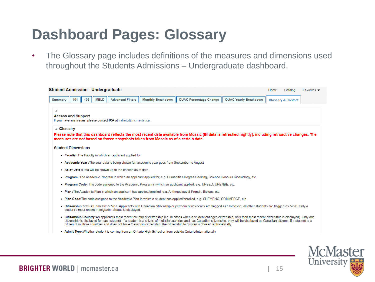#### **Dashboard Pages: Glossary**

• The Glossary page includes definitions of the measures and dimensions used throughout the Students Admissions – Undergraduate dashboard.

|                      |                           | <b>Student Admission - Undergraduate</b>                           |                                                                                                |                                                                                                                                                                                                                                                                                                                                                                                                                                                                                                               |                              | Home<br>Catalog               | Favorites $\blacktriangledown$ |
|----------------------|---------------------------|--------------------------------------------------------------------|------------------------------------------------------------------------------------------------|---------------------------------------------------------------------------------------------------------------------------------------------------------------------------------------------------------------------------------------------------------------------------------------------------------------------------------------------------------------------------------------------------------------------------------------------------------------------------------------------------------------|------------------------------|-------------------------------|--------------------------------|
|                      |                           |                                                                    |                                                                                                | Summary    101    105    MELD    Advanced Filters    Monthly Breakdown    OUAC Percentage Change                                                                                                                                                                                                                                                                                                                                                                                                              | <b>OUAC Yearly Breakdown</b> | <b>Glossary &amp; Contact</b> |                                |
|                      |                           |                                                                    |                                                                                                |                                                                                                                                                                                                                                                                                                                                                                                                                                                                                                               |                              |                               |                                |
|                      | <b>Access and Support</b> | If you have any issues, please contact IRA at irahelp@mcmaster.ca. |                                                                                                |                                                                                                                                                                                                                                                                                                                                                                                                                                                                                                               |                              |                               |                                |
| $\triangle$ Glossary |                           |                                                                    |                                                                                                |                                                                                                                                                                                                                                                                                                                                                                                                                                                                                                               |                              |                               |                                |
|                      |                           |                                                                    | measures are not based on frozen snapshots taken from Mosaic as of a certain date.             | Please note that this dashboard reflects the most recent data available from Mosaic (BI data is refreshed nightly), including retroactive changes. The                                                                                                                                                                                                                                                                                                                                                        |                              |                               |                                |
|                      | <b>Student Dimensions</b> |                                                                    |                                                                                                |                                                                                                                                                                                                                                                                                                                                                                                                                                                                                                               |                              |                               |                                |
|                      |                           | . Faculty : The Faculty in which an applicant applied for.         |                                                                                                |                                                                                                                                                                                                                                                                                                                                                                                                                                                                                                               |                              |                               |                                |
|                      |                           |                                                                    | • Academic Year: The year data is being shown for; academic year goes from September to August |                                                                                                                                                                                                                                                                                                                                                                                                                                                                                                               |                              |                               |                                |
|                      |                           | . As of Date : Data will be shown up to the chosen as of date.     |                                                                                                |                                                                                                                                                                                                                                                                                                                                                                                                                                                                                                               |                              |                               |                                |
|                      |                           |                                                                    |                                                                                                | . Program : The Academic Program in which an applicant applied for, e.g. Humanities Degree Seeking, Science Honours Kinesiology, etc.                                                                                                                                                                                                                                                                                                                                                                         |                              |                               |                                |
|                      |                           |                                                                    |                                                                                                | . Program Code: The code assigned to the Academic Program in which an applicant applied, e.g. UHSED, UHENBE, etc.                                                                                                                                                                                                                                                                                                                                                                                             |                              |                               |                                |
|                      |                           |                                                                    |                                                                                                | • Plan: The Academic Plan in which an applicant has applied/enrolled, e.g. Anthropology & French, Biology, etc.                                                                                                                                                                                                                                                                                                                                                                                               |                              |                               |                                |
|                      |                           |                                                                    |                                                                                                | . Plan Code: The code assigned to the Academic Plan in which a student has applied/enrolled, e.g. CHEMENG, COMMERCE, etc.                                                                                                                                                                                                                                                                                                                                                                                     |                              |                               |                                |
| ٠                    |                           | student's most recent Immigration Status is displayed.             |                                                                                                | Citizenship Status:Domestic or Visa. Applicants with Canadian citizenship or permanent residency are flagged as 'Domestic'; all other students are flagged as 'Visa'. Only a                                                                                                                                                                                                                                                                                                                                  |                              |                               |                                |
|                      |                           |                                                                    |                                                                                                | . Citizenship Country:An applicants most recent country of citizenship (i.e. in cases when a student changes citizenship, only their most recent citizenship is displayed). Only one<br>citizenship is displayed for each student. If a student is a citizen of multiple countries and has Canadian citizenship, they will be displayed as Canadian citizens. If a student is a<br>citizen of multiple countries and does not have Canadian citizenship, the citizenship to display is chosen alphabetically. |                              |                               |                                |
|                      |                           |                                                                    |                                                                                                |                                                                                                                                                                                                                                                                                                                                                                                                                                                                                                               |                              |                               |                                |

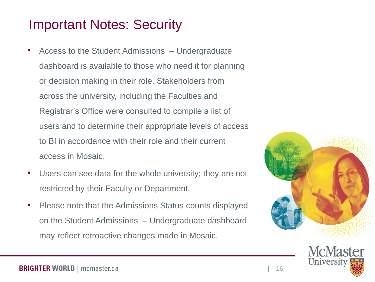#### Important Notes: Security

- Access to the Student Admissions Undergraduate dashboard is available to those who need it for planning or decision making in their role. Stakeholders from across the university, including the Faculties and Registrar's Office were consulted to compile a list of users and to determine their appropriate levels of access to BI in accordance with their role and their current access in Mosaic.
- Users can see data for the whole university; they are not restricted by their Faculty or Department.
- Please note that the Admissions Status counts displayed on the Student Admissions – Undergraduate dashboard may reflect retroactive changes made in Mosaic.